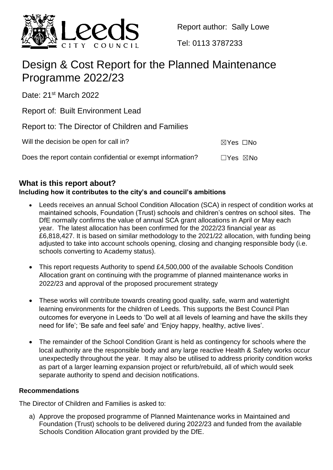

Report author: Sally Lowe

Tel: 0113 3787233

# Design & Cost Report for the Planned Maintenance Programme 2022/23

Date: 21<sup>st</sup> March 2022

Report of: Built Environment Lead

Report to: The Director of Children and Families

| Will the decision be open for call in?                      | ⊠Yes □No                  |  |
|-------------------------------------------------------------|---------------------------|--|
| Does the report contain confidential or exempt information? | $\Box$ Yes $\boxtimes$ No |  |

## **What is this report about?**

## **Including how it contributes to the city's and council's ambitions**

- Leeds receives an annual School Condition Allocation (SCA) in respect of condition works at maintained schools, Foundation (Trust) schools and children's centres on school sites. The DfE normally confirms the value of annual SCA grant allocations in April or May each year. The latest allocation has been confirmed for the 2022/23 financial year as £6,818,427. It is based on similar methodology to the 2021/22 allocation, with funding being adjusted to take into account schools opening, closing and changing responsible body (i.e. schools converting to Academy status).
- This report requests Authority to spend £4,500,000 of the available Schools Condition Allocation grant on continuing with the programme of planned maintenance works in 2022/23 and approval of the proposed procurement strategy
- These works will contribute towards creating good quality, safe, warm and watertight learning environments for the children of Leeds. This supports the Best Council Plan outcomes for everyone in Leeds to 'Do well at all levels of learning and have the skills they need for life'; 'Be safe and feel safe' and 'Enjoy happy, healthy, active lives'.
- The remainder of the School Condition Grant is held as contingency for schools where the local authority are the responsible body and any large reactive Health & Safety works occur unexpectedly throughout the year. It may also be utilised to address priority condition works as part of a larger learning expansion project or refurb/rebuild, all of which would seek separate authority to spend and decision notifications.

### **Recommendations**

The Director of Children and Families is asked to:

a) Approve the proposed programme of Planned Maintenance works in Maintained and Foundation (Trust) schools to be delivered during 2022/23 and funded from the available Schools Condition Allocation grant provided by the DfE.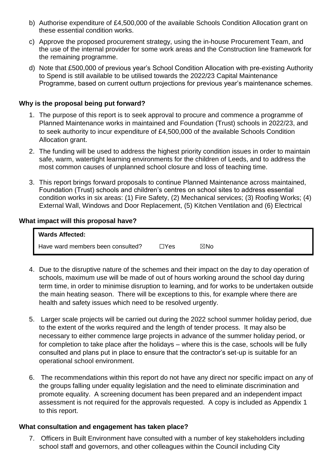- b) Authorise expenditure of £4,500,000 of the available Schools Condition Allocation grant on these essential condition works.
- c) Approve the proposed procurement strategy, using the in-house Procurement Team, and the use of the internal provider for some work areas and the Construction line framework for the remaining programme.
- d) Note that £500,000 of previous year's School Condition Allocation with pre-existing Authority to Spend is still available to be utilised towards the 2022/23 Capital Maintenance Programme, based on current outturn projections for previous year's maintenance schemes.

#### **Why is the proposal being put forward?**

- 1. The purpose of this report is to seek approval to procure and commence a programme of Planned Maintenance works in maintained and Foundation (Trust) schools in 2022/23, and to seek authority to incur expenditure of £4,500,000 of the available Schools Condition Allocation grant.
- 2. The funding will be used to address the highest priority condition issues in order to maintain safe, warm, watertight learning environments for the children of Leeds, and to address the most common causes of unplanned school closure and loss of teaching time.
- 3. This report brings forward proposals to continue Planned Maintenance across maintained, Foundation (Trust) schools and children's centres on school sites to address essential condition works in six areas: (1) Fire Safety, (2) Mechanical services; (3) Roofing Works; (4) External Wall, Windows and Door Replacement, (5) Kitchen Ventilation and (6) Electrical

#### **What impact will this proposal have?**

| <b>Wards Affected:</b>            |      |     |  |
|-----------------------------------|------|-----|--|
| Have ward members been consulted? | ∃Yes | ⊠No |  |

- 4. Due to the disruptive nature of the schemes and their impact on the day to day operation of schools, maximum use will be made of out of hours working around the school day during term time, in order to minimise disruption to learning, and for works to be undertaken outside the main heating season. There will be exceptions to this, for example where there are health and safety issues which need to be resolved urgently.
- 5. Larger scale projects will be carried out during the 2022 school summer holiday period, due to the extent of the works required and the length of tender process. It may also be necessary to either commence large projects in advance of the summer holiday period, or for completion to take place after the holidays – where this is the case, schools will be fully consulted and plans put in place to ensure that the contractor's set-up is suitable for an operational school environment.
- 6. The recommendations within this report do not have any direct nor specific impact on any of the groups falling under equality legislation and the need to eliminate discrimination and promote equality. A screening document has been prepared and an independent impact assessment is not required for the approvals requested. A copy is included as Appendix 1 to this report.

#### **What consultation and engagement has taken place?**

7. Officers in Built Environment have consulted with a number of key stakeholders including school staff and governors, and other colleagues within the Council including City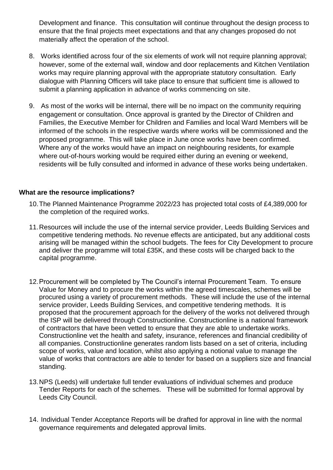Development and finance. This consultation will continue throughout the design process to ensure that the final projects meet expectations and that any changes proposed do not materially affect the operation of the school.

- 8. Works identified across four of the six elements of work will not require planning approval; however, some of the external wall, window and door replacements and Kitchen Ventilation works may require planning approval with the appropriate statutory consultation. Early dialogue with Planning Officers will take place to ensure that sufficient time is allowed to submit a planning application in advance of works commencing on site.
- 9. As most of the works will be internal, there will be no impact on the community requiring engagement or consultation. Once approval is granted by the Director of Children and Families, the Executive Member for Children and Families and local Ward Members will be informed of the schools in the respective wards where works will be commissioned and the proposed programme. This will take place in June once works have been confirmed. Where any of the works would have an impact on neighbouring residents, for example where out-of-hours working would be required either during an evening or weekend, residents will be fully consulted and informed in advance of these works being undertaken.

#### **What are the resource implications?**

- 10.The Planned Maintenance Programme 2022/23 has projected total costs of £4,389,000 for the completion of the required works.
- 11.Resources will include the use of the internal service provider, Leeds Building Services and competitive tendering methods. No revenue effects are anticipated, but any additional costs arising will be managed within the school budgets. The fees for City Development to procure and deliver the programme will total £35K, and these costs will be charged back to the capital programme.
- 12.Procurement will be completed by The Council's internal Procurement Team. To ensure Value for Money and to procure the works within the agreed timescales, schemes will be procured using a variety of procurement methods. These will include the use of the internal service provider, Leeds Building Services, and competitive tendering methods. It is proposed that the procurement approach for the delivery of the works not delivered through the ISP will be delivered through Constructionline. Constructionline is a national framework of contractors that have been vetted to ensure that they are able to undertake works. Constructionline vet the health and safety, insurance, references and financial credibility of all companies. Constructionline generates random lists based on a set of criteria, including scope of works, value and location, whilst also applying a notional value to manage the value of works that contractors are able to tender for based on a suppliers size and financial standing.
- 13.NPS (Leeds) will undertake full tender evaluations of individual schemes and produce Tender Reports for each of the schemes. These will be submitted for formal approval by Leeds City Council.
- 14. Individual Tender Acceptance Reports will be drafted for approval in line with the normal governance requirements and delegated approval limits.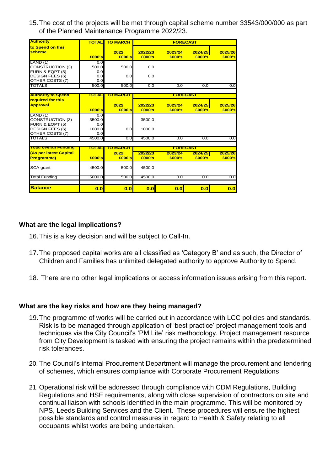15.The cost of the projects will be met through capital scheme number 33543/000/000 as part of the Planned Maintenance Programme 2022/23.

| <b>Authority</b>                                      | <b>TOTAL</b>  | <b>TO MARCH</b> | <b>FORECAST</b>   |                   |                   |                   |
|-------------------------------------------------------|---------------|-----------------|-------------------|-------------------|-------------------|-------------------|
| to Spend on this<br><b>scheme</b>                     | £000's        | 2022<br>£000's  | 2022/23<br>£000's | 2023/24<br>£000's | 2024/25<br>£000's | 2025/26<br>£000's |
| LAND(1)                                               | 0.0           |                 |                   |                   |                   |                   |
| <b>CONSTRUCTION (3)</b>                               | 500.0         | 500.0           | 0.0               |                   |                   |                   |
| FURN & EQPT (5)<br><b>DESIGN FEES (6)</b>             | 0.0<br>0.0    | 0.0             | 0.0               |                   |                   |                   |
| OTHER COSTS (7)                                       | 0.0           |                 |                   |                   |                   |                   |
| <b>TOTALS</b>                                         | 500.0         | 500.0           | 0.0               | 0.0               | 0.0               | 0.0               |
|                                                       |               |                 |                   |                   |                   |                   |
| <b>Authority to Spend</b><br><b>required for this</b> | TOTAL         | TO MARCH        |                   | <b>FORECAST</b>   |                   |                   |
| <b>Approval</b>                                       | £000's        | 2022<br>£000's  | 2022/23<br>£000's | 2023/24<br>£000's | 2024/25<br>£000's | 2025/26<br>£000's |
| LAND(1)                                               | 0.0           |                 |                   |                   |                   |                   |
| <b>CONSTRUCTION (3)</b>                               | 3500.0        |                 | 3500.0            |                   |                   |                   |
| FURN & EQPT (5)                                       | 0.0           |                 |                   |                   |                   |                   |
| <b>DESIGN FEES (6)</b><br>OTHER COSTS (7)             | 1000.0<br>0.0 | 0.0             | 1000.0            |                   |                   |                   |
| <b>TOTALS</b>                                         | 4500.0        | 0.0             | 4500.0            | 0.0               | 0.0               | 0.0               |
|                                                       |               |                 |                   |                   |                   |                   |
| <b>Total overall Funding</b>                          | TOTAL         | TO MARCH        | <b>FORECAST</b>   |                   |                   |                   |
| <b>As per latest Capital</b>                          |               | 2022            | 2022/23           | 2023/24           | 2024/25           | 2025/26           |
| <b>Programme)</b>                                     | £000's        | £000's          | £000's            | £000's            | £000's            | £000's            |
| SCA grant                                             | 4500.0        | 500.0           | 4500.0            |                   |                   |                   |
| <b>Total Funding</b>                                  | 5000.0        | 500.0           | 4500.0            | 0.0               | 0.0               | 0.0               |
|                                                       |               |                 |                   |                   |                   |                   |
| <b>Balance</b>                                        | 0.0           | 0.0             | 0.0               | 0.0               | 0.0               | 0.0               |

#### **What are the legal implications?**

- 16.This is a key decision and will be subject to Call-In.
- 17.The proposed capital works are all classified as 'Category B' and as such, the Director of Children and Families has unlimited delegated authority to approve Authority to Spend.
- 18. There are no other legal implications or access information issues arising from this report.

#### **What are the key risks and how are they being managed?**

- 19.The programme of works will be carried out in accordance with LCC policies and standards. Risk is to be managed through application of 'best practice' project management tools and techniques via the City Council's 'PM Lite' risk methodology. Project management resource from City Development is tasked with ensuring the project remains within the predetermined risk tolerances.
- 20. The Council's internal Procurement Department will manage the procurement and tendering of schemes, which ensures compliance with Corporate Procurement Regulations
- 21. Operational risk will be addressed through compliance with CDM Regulations, Building Regulations and HSE requirements, along with close supervision of contractors on site and continual liaison with schools identified in the main programme. This will be monitored by NPS, Leeds Building Services and the Client. These procedures will ensure the highest possible standards and control measures in regard to Health & Safety relating to all occupants whilst works are being undertaken.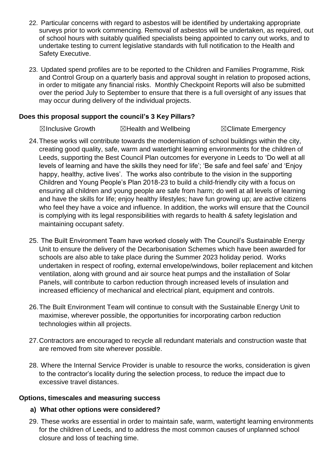- 22. Particular concerns with regard to asbestos will be identified by undertaking appropriate surveys prior to work commencing. Removal of asbestos will be undertaken, as required, out of school hours with suitably qualified specialists being appointed to carry out works, and to undertake testing to current legislative standards with full notification to the Health and Safety Executive.
- 23. Updated spend profiles are to be reported to the Children and Families Programme, Risk and Control Group on a quarterly basis and approval sought in relation to proposed actions, in order to mitigate any financial risks. Monthly Checkpoint Reports will also be submitted over the period July to September to ensure that there is a full oversight of any issues that may occur during delivery of the individual projects.

#### **Does this proposal support the council's 3 Key Pillars?**

☒Inclusive Growth ☒Health and Wellbeing ☒Climate Emergency

- 24.These works will contribute towards the modernisation of school buildings within the city, creating good quality, safe, warm and watertight learning environments for the children of Leeds, supporting the Best Council Plan outcomes for everyone in Leeds to 'Do well at all levels of learning and have the skills they need for life'; 'Be safe and feel safe' and 'Enjoy happy, healthy, active lives'. The works also contribute to the vision in the supporting Children and Young People's Plan 2018-23 to build a child-friendly city with a focus on ensuring all children and young people are safe from harm; do well at all levels of learning and have the skills for life; enjoy healthy lifestyles; have fun growing up; are active citizens who feel they have a voice and influence. In addition, the works will ensure that the Council is complying with its legal responsibilities with regards to health & safety legislation and maintaining occupant safety.
- 25. The Built Environment Team have worked closely with The Council's Sustainable Energy Unit to ensure the delivery of the Decarbonisation Schemes which have been awarded for schools are also able to take place during the Summer 2023 holiday period. Works undertaken in respect of roofing, external envelope/windows, boiler replacement and kitchen ventilation, along with ground and air source heat pumps and the installation of Solar Panels, will contribute to carbon reduction through increased levels of insulation and increased efficiency of mechanical and electrical plant, equipment and controls.
- 26.The Built Environment Team will continue to consult with the Sustainable Energy Unit to maximise, wherever possible, the opportunities for incorporating carbon reduction technologies within all projects.
- 27.Contractors are encouraged to recycle all redundant materials and construction waste that are removed from site wherever possible.
- 28. Where the Internal Service Provider is unable to resource the works, consideration is given to the contractor's locality during the selection process, to reduce the impact due to excessive travel distances.

#### **Options, timescales and measuring success**

#### **a) What other options were considered?**

29. These works are essential in order to maintain safe, warm, watertight learning environments for the children of Leeds, and to address the most common causes of unplanned school closure and loss of teaching time.